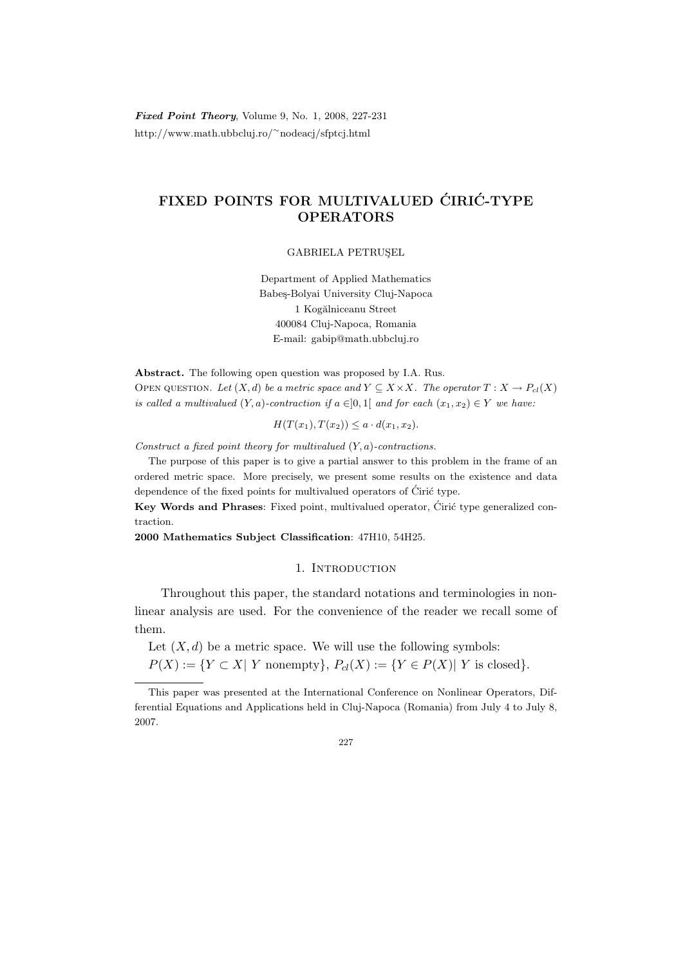Fixed Point Theory, Volume 9, No. 1, 2008, 227-231 http://www.math.ubbcluj.ro/<sup>∼</sup>nodeacj/sfptcj.html

## FIXED POINTS FOR MULTIVALUED CIRIC-TYPE OPERATORS

GABRIELA PETRUSEL

Department of Applied Mathematics Babeş-Bolyai University Cluj-Napoca 1 Kogălniceanu Street 400084 Cluj-Napoca, Romania E-mail: gabip@math.ubbcluj.ro

Abstract. The following open question was proposed by I.A. Rus. OPEN QUESTION. Let  $(X, d)$  be a metric space and  $Y \subseteq X \times X$ . The operator  $T : X \to P_{cl}(X)$ is called a multivalued  $(Y, a)$ -contraction if  $a \in ]0,1[$  and for each  $(x_1, x_2) \in Y$  we have:

 $H(T(x_1), T(x_2)) \leq a \cdot d(x_1, x_2).$ 

Construct a fixed point theory for multivalued  $(Y, a)$ -contractions.

The purpose of this paper is to give a partial answer to this problem in the frame of an ordered metric space. More precisely, we present some results on the existence and data dependence of the fixed points for multivalued operators of Ciric type.

Key Words and Phrases: Fixed point, multivalued operator, Ćirić type generalized contraction.

2000 Mathematics Subject Classification: 47H10, 54H25.

## 1. INTRODUCTION

Throughout this paper, the standard notations and terminologies in nonlinear analysis are used. For the convenience of the reader we recall some of them.

Let  $(X, d)$  be a metric space. We will use the following symbols:  $P(X) := \{ Y \subset X | Y \text{ nonempty} \}, P_{cl}(X) := \{ Y \in P(X) | Y \text{ is closed} \}.$ 

This paper was presented at the International Conference on Nonlinear Operators, Differential Equations and Applications held in Cluj-Napoca (Romania) from July 4 to July 8, 2007.

<sup>227</sup>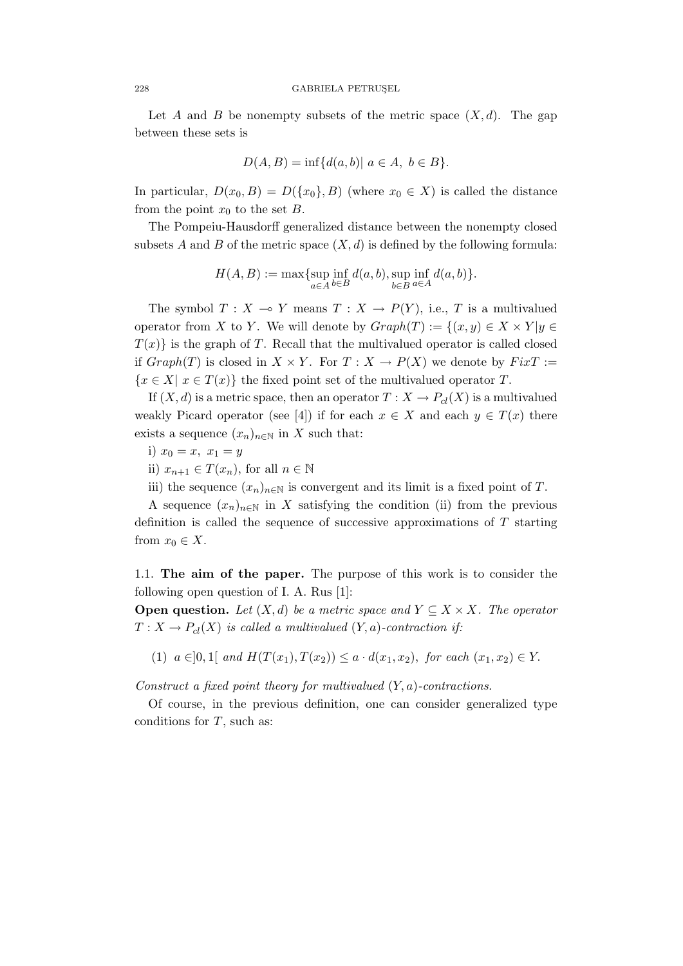Let A and B be nonempty subsets of the metric space  $(X, d)$ . The gap between these sets is

$$
D(A, B) = \inf \{ d(a, b) | a \in A, b \in B \}.
$$

In particular,  $D(x_0, B) = D({x_0}, B)$  (where  $x_0 \in X$ ) is called the distance from the point  $x_0$  to the set B.

The Pompeiu-Hausdorff generalized distance between the nonempty closed subsets A and B of the metric space  $(X, d)$  is defined by the following formula:

$$
H(A, B) := \max \{ \sup_{a \in A} \inf_{b \in B} d(a, b), \sup_{b \in B} \inf_{a \in A} d(a, b) \}.
$$

The symbol  $T : X \to Y$  means  $T : X \to P(Y)$ , i.e., T is a multivalued operator from X to Y. We will denote by  $Graph(T) := \{(x, y) \in X \times Y | y \in Y\}$  $T(x)$  is the graph of T. Recall that the multivalued operator is called closed if  $Graph(T)$  is closed in  $X \times Y$ . For  $T : X \to P(X)$  we denote by  $Fix T :=$  ${x \in X | x \in T(x)}$  the fixed point set of the multivalued operator T.

If  $(X, d)$  is a metric space, then an operator  $T : X \to P_{cl}(X)$  is a multivalued weakly Picard operator (see [4]) if for each  $x \in X$  and each  $y \in T(x)$  there exists a sequence  $(x_n)_{n\in\mathbb{N}}$  in X such that:

- i)  $x_0 = x, x_1 = y$
- ii)  $x_{n+1} \in T(x_n)$ , for all  $n \in \mathbb{N}$
- iii) the sequence  $(x_n)_{n\in\mathbb{N}}$  is convergent and its limit is a fixed point of T.

A sequence  $(x_n)_{n\in\mathbb{N}}$  in X satisfying the condition (ii) from the previous definition is called the sequence of successive approximations of  $T$  starting from  $x_0 \in X$ .

1.1. The aim of the paper. The purpose of this work is to consider the following open question of I. A. Rus [1]:

**Open question.** Let  $(X, d)$  be a metric space and  $Y \subseteq X \times X$ . The operator  $T: X \to P_{cl}(X)$  is called a multivalued  $(Y, a)$ -contraction if:

(1)  $a \in ]0,1]$  and  $H(T(x_1), T(x_2)) \leq a \cdot d(x_1, x_2)$ , for each  $(x_1, x_2) \in Y$ .

Construct a fixed point theory for multivalued  $(Y, a)$ -contractions.

Of course, in the previous definition, one can consider generalized type conditions for  $T$ , such as: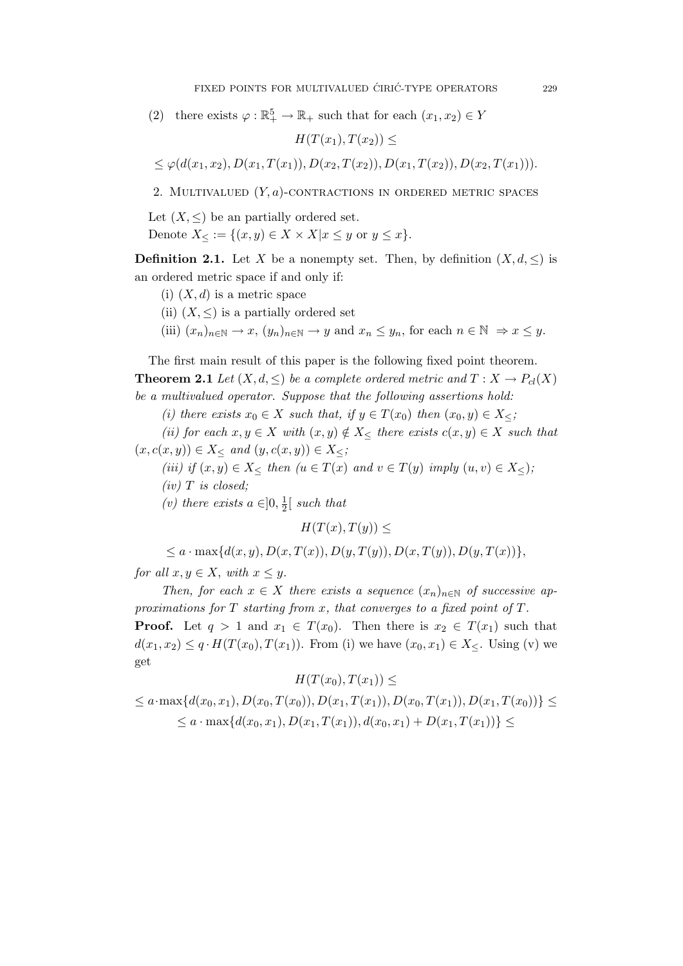(2) there exists  $\varphi : \mathbb{R}^5_+ \to \mathbb{R}_+$  such that for each  $(x_1, x_2) \in Y$ 

$$
H(T(x_1), T(x_2)) \le
$$
  

$$
\leq \varphi(d(x_1, x_2), D(x_1, T(x_1)), D(x_2, T(x_2)), D(x_1, T(x_2)), D(x_2, T(x_1))).
$$

2. MULTIVALUED  $(Y, a)$ -CONTRACTIONS IN ORDERED METRIC SPACES

Let  $(X, \leq)$  be an partially ordered set.

Denote  $X_{\leq} := \{(x, y) \in X \times X | x \leq y \text{ or } y \leq x\}.$ 

**Definition 2.1.** Let X be a nonempty set. Then, by definition  $(X, d, \leq)$  is an ordered metric space if and only if:

- (i)  $(X, d)$  is a metric space
- (ii)  $(X, \leq)$  is a partially ordered set
- (iii)  $(x_n)_{n\in\mathbb{N}} \to x$ ,  $(y_n)_{n\in\mathbb{N}} \to y$  and  $x_n \leq y_n$ , for each  $n \in \mathbb{N} \Rightarrow x \leq y$ .

The first main result of this paper is the following fixed point theorem. **Theorem 2.1** Let  $(X, d, \leq)$  be a complete ordered metric and  $T : X \to P_{cl}(X)$ be a multivalued operator. Suppose that the following assertions hold:

(i) there exists  $x_0 \in X$  such that, if  $y \in T(x_0)$  then  $(x_0, y) \in X_{\leq}$ ;

(ii) for each  $x, y \in X$  with  $(x, y) \notin X<sup>′</sup>$  there exists  $c(x, y) \in X$  such that  $(x, c(x, y)) \in X_{\leq}$  and  $(y, c(x, y)) \in X_{\leq}$ ;

- (iii) if  $(x, y) \in X_{\leq}$  then  $(u \in T(x)$  and  $v \in T(y)$  imply  $(u, v) \in X_{\leq}$ );
- $(iv)$  T is closed;

(v) there exists  $a \in ]0, \frac{1}{2}$  $rac{1}{2}$  such that

 $H(T(x), T(y)) \leq$ 

 $\leq a \cdot \max\{d(x,y), D(x,T(x)), D(y,T(y)), D(x,T(y)), D(y,T(x))\},$ 

for all  $x, y \in X$ , with  $x \leq y$ .

Then, for each  $x \in X$  there exists a sequence  $(x_n)_{n \in \mathbb{N}}$  of successive approximations for  $T$  starting from  $x$ , that converges to a fixed point of  $T$ . **Proof.** Let  $q > 1$  and  $x_1 \in T(x_0)$ . Then there is  $x_2 \in T(x_1)$  such that  $d(x_1, x_2) \leq q \cdot H(T(x_0), T(x_1))$ . From (i) we have  $(x_0, x_1) \in X_{\leq}$ . Using (v) we get

 $H(T(x_0), T(x_1)) \leq$ 

 $\leq a \cdot \max\{d(x_0, x_1), D(x_0, T(x_0)), D(x_1, T(x_1)), D(x_0, T(x_1)), D(x_1, T(x_0))\} \leq$  $\{a \cdot \max\{d(x_0, x_1), D(x_1, T(x_1)), d(x_0, x_1) + D(x_1, T(x_1))\}$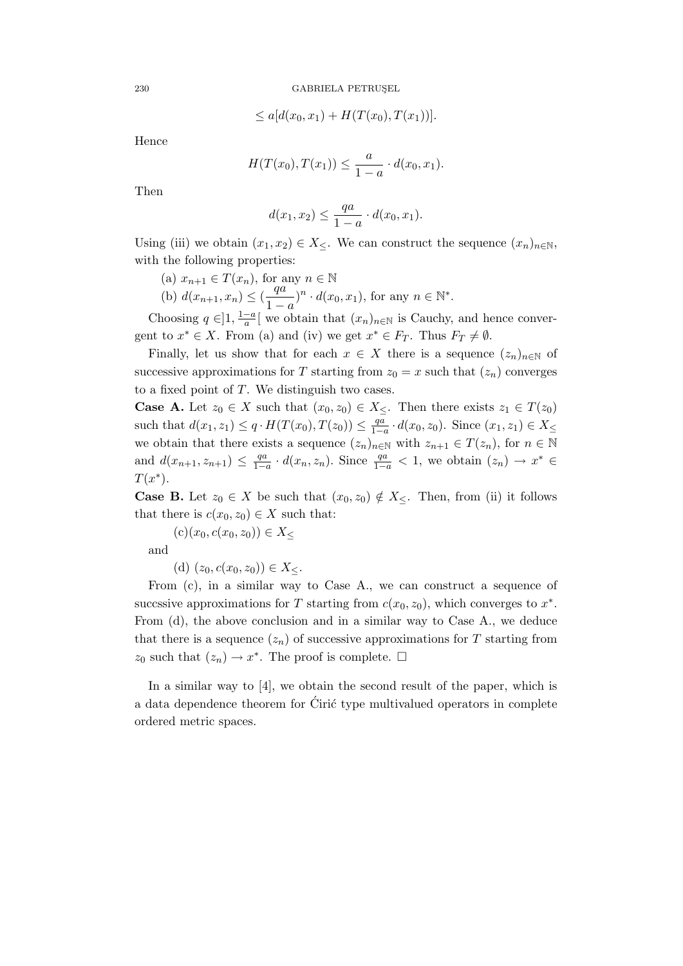$$
\leq a[d(x_0, x_1) + H(T(x_0), T(x_1))].
$$

Hence

$$
H(T(x_0), T(x_1)) \le \frac{a}{1-a} \cdot d(x_0, x_1).
$$

Then

$$
d(x_1, x_2) \le \frac{qa}{1-a} \cdot d(x_0, x_1).
$$

Using (iii) we obtain  $(x_1, x_2) \in X_{\leq}$ . We can construct the sequence  $(x_n)_{n \in \mathbb{N}}$ , with the following properties:

(a)  $x_{n+1} \in T(x_n)$ , for any  $n \in \mathbb{N}$ (b)  $d(x_{n+1}, x_n) \leq (\frac{qa}{1})$  $\frac{qa}{1-a}$ <sup>n</sup> ·  $d(x_0, x_1)$ , for any  $n \in \mathbb{N}^*$ .

Choosing  $q \in ]1, \frac{1-a}{a}$  $\frac{-a}{a}$  we obtain that  $(x_n)_{n\in\mathbb{N}}$  is Cauchy, and hence convergent to  $x^* \in X$ . From (a) and (iv) we get  $x^* \in F_T$ . Thus  $F_T \neq \emptyset$ .

Finally, let us show that for each  $x \in X$  there is a sequence  $(z_n)_{n \in \mathbb{N}}$  of successive approximations for T starting from  $z_0 = x$  such that  $(z_n)$  converges to a fixed point of T. We distinguish two cases.

**Case A.** Let  $z_0 \in X$  such that  $(x_0, z_0) \in X_<$ . Then there exists  $z_1 \in T(z_0)$ such that  $d(x_1, z_1) \leq q \cdot H(T(x_0), T(z_0)) \leq \frac{qa}{1-q}$  $\frac{qa}{1-a} \cdot d(x_0, z_0)$ . Since  $(x_1, z_1) \in X_≤$ we obtain that there exists a sequence  $(z_n)_{n\in\mathbb{N}}$  with  $z_{n+1}\in T(z_n)$ , for  $n\in\mathbb{N}$ and  $d(x_{n+1}, z_{n+1}) \leq \frac{qa}{1-q}$  $\frac{qa}{1-a} \cdot d(x_n, z_n)$ . Since  $\frac{qa}{1-a} < 1$ , we obtain  $(z_n) \to x^* \in$  $T(x^*).$ 

**Case B.** Let  $z_0 \in X$  be such that  $(x_0, z_0) \notin X_{\leq}$ . Then, from (ii) it follows that there is  $c(x_0, z_0) \in X$  such that:

 $(c)(x_0, c(x_0, z_0)) \in X_{\leq}$ 

and

(d)  $(z_0, c(x_0, z_0)) \in X_<$ .

From (c), in a similar way to Case A., we can construct a sequence of succssive approximations for T starting from  $c(x_0, z_0)$ , which converges to  $x^*$ . From (d), the above conclusion and in a similar way to Case A., we deduce that there is a sequence  $(z_n)$  of successive approximations for T starting from  $z_0$  such that  $(z_n) \to x^*$ . The proof is complete.  $\Box$ 

In a similar way to [4], we obtain the second result of the paper, which is a data dependence theorem for Ciric type multivalued operators in complete ordered metric spaces.